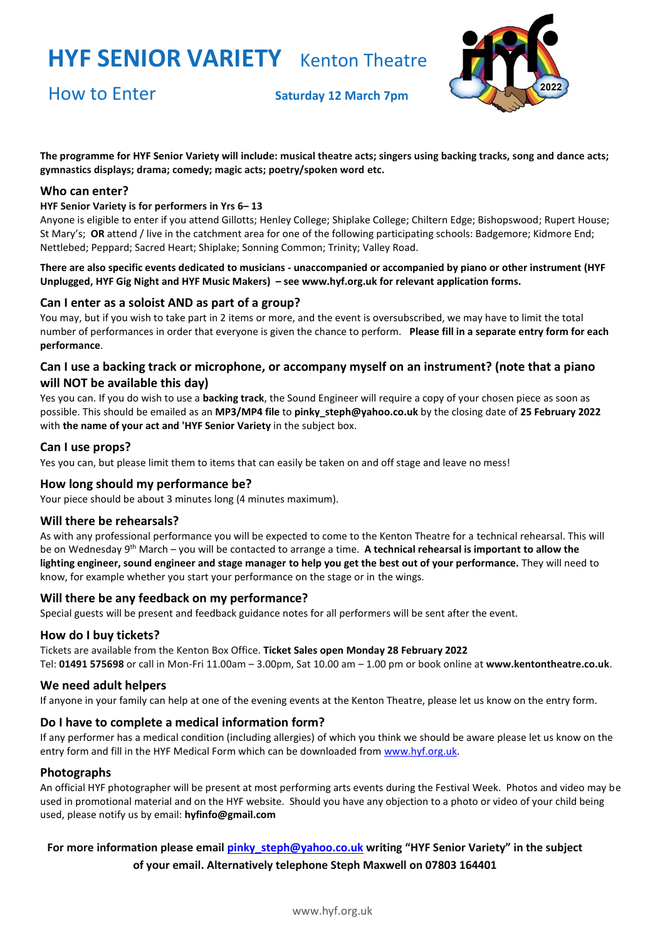## **HYF SENIOR VARIETY** Kenton Theatre

How to Enter **Saturday <sup>12</sup> March 7pm**



**The programme for HYF Senior Variety will include: musical theatre acts; singers using backing tracks, song and dance acts; gymnastics displays; drama; comedy; magic acts; poetry/spoken word etc.**

#### **Who can enter?**

#### **HYF Senior Variety is for performers in Yrs 6– 13**

Anyone is eligible to enter if you attend Gillotts; Henley College; Shiplake College; Chiltern Edge; Bishopswood; Rupert House; St Mary's; **OR** attend / live in the catchment area for one of the following participating schools: Badgemore; Kidmore End; Nettlebed; Peppard; Sacred Heart; Shiplake; Sonning Common; Trinity; Valley Road.

**There are also specific events dedicated to musicians - unaccompanied or accompanied by piano or other instrument (HYF Unplugged, HYF Gig Night and HYF Music Makers) – se[e www.hyf.org.uk](http://www.hyf.org.uk/) for relevant application forms.**

#### **Can I enter as a soloist AND as part of a group?**

You may, but if you wish to take part in 2 items or more, and the event is oversubscribed, we may have to limit the total number of performances in order that everyone is given the chance to perform. **Please fill in a separate entry form for each performance**.

### **Can I use a backing track or microphone, or accompany myself on an instrument? (note that a piano will NOT be available this day)**

Yes you can. If you do wish to use a **backing track**, the Sound Engineer will require a copy of your chosen piece as soon as possible. This should be emailed as an **MP3/MP4 file** to **pinky\_steph@yahoo.co.uk** by the closing date of **25 February 2022** with **the name of your act and 'HYF Senior Variety** in the subject box.

#### **Can I use props?**

Yes you can, but please limit them to items that can easily be taken on and off stage and leave no mess!

#### **How long should my performance be?**

Your piece should be about 3 minutes long (4 minutes maximum).

#### **Will there be rehearsals?**

As with any professional performance you will be expected to come to the Kenton Theatre for a technical rehearsal. This will be on Wednesday 9<sup>th</sup> March – you will be contacted to arrange a time. A technical rehearsal is important to allow the **lighting engineer, sound engineer and stage manager to help you get the best out of your performance.** They will need to know, for example whether you start your performance on the stage or in the wings.

#### **Will there be any feedback on my performance?**

Special guests will be present and feedback guidance notes for all performers will be sent after the event.

#### **How do I buy tickets?**

Tickets are available from the Kenton Box Office. **Ticket Sales open Monday 28 February 2022** Tel: **01491 575698** or call in Mon-Fri 11.00am – 3.00pm, Sat 10.00 am – 1.00 pm or book online at **[www.kentontheatre.co.uk](http://www.kentontheatre.co.uk/)**.

#### **We need adult helpers**

If anyone in your family can help at one of the evening events at the Kenton Theatre, please let us know on the [entry form.](http://www.hyf.org.uk/media/13759-hyf%20entry%20form%20music%20makers.pdf)

#### **Do I have to complete a medical information form?**

If any performer has a medical condition (including allergies) of which you think we should be aware please let us know on the entry form and fill in the HYF Medical Form which can be downloaded from [www.hyf.org.uk.](http://www.hyf.org.uk/)

#### **Photographs**

An official HYF photographer will be present at most performing arts events during the Festival Week. Photos and video may be used in promotional material and on the HYF website. Should you have any objection to a photo or video of your child being used, please notify us by email: **hyfinfo@gmail.com**

### **For more information please email [pinky\\_steph@yahoo.co.uk](mailto:pinky_steph@yahoo.co.uk) writing "HYF Senior Variety" in the subject of your email. Alternatively telephone Steph Maxwell on 07803 164401**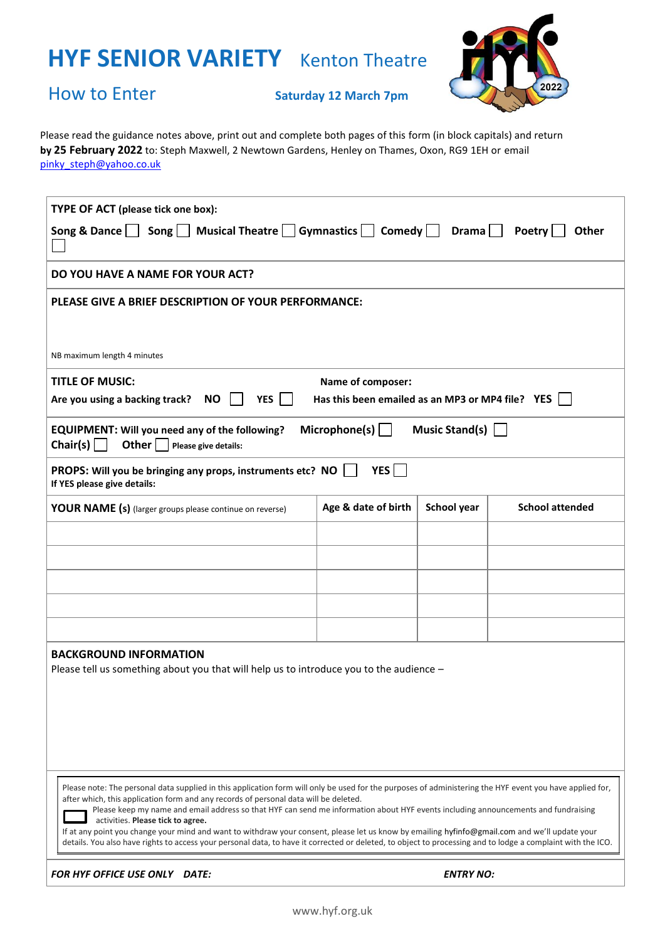# **HYF SENIOR VARIETY** Kenton Theatre



## How to Enter **Saturday <sup>12</sup> March 7pm**

**pm by 25 February 2022** to: Steph Maxwell, 2 Newtown Gardens, Henley on Thames, Oxon, RG9 1EH or email Please read the guidance notes above, print out and complete both pages of this form (in block capitals) and return [pinky\\_steph@yahoo.co.uk](mailto:pinky_steph@yahoo.co.uk)

| TYPE OF ACT (please tick one box):                                                                                                                                                                                                                                                                                                                                                                                                                                                                                                                                                                                                                                                                                                           |                     |                  |                        |  |
|----------------------------------------------------------------------------------------------------------------------------------------------------------------------------------------------------------------------------------------------------------------------------------------------------------------------------------------------------------------------------------------------------------------------------------------------------------------------------------------------------------------------------------------------------------------------------------------------------------------------------------------------------------------------------------------------------------------------------------------------|---------------------|------------------|------------------------|--|
| $\mathsf{Song}$ Musical Theatre Gymnastics Comedy Drama<br>Poetry<br>Song & Dance<br><b>Other</b>                                                                                                                                                                                                                                                                                                                                                                                                                                                                                                                                                                                                                                            |                     |                  |                        |  |
| DO YOU HAVE A NAME FOR YOUR ACT?                                                                                                                                                                                                                                                                                                                                                                                                                                                                                                                                                                                                                                                                                                             |                     |                  |                        |  |
| PLEASE GIVE A BRIEF DESCRIPTION OF YOUR PERFORMANCE:                                                                                                                                                                                                                                                                                                                                                                                                                                                                                                                                                                                                                                                                                         |                     |                  |                        |  |
| NB maximum length 4 minutes                                                                                                                                                                                                                                                                                                                                                                                                                                                                                                                                                                                                                                                                                                                  |                     |                  |                        |  |
| <b>TITLE OF MUSIC:</b><br>Name of composer:<br><b>NO</b><br>YES  <br>$\sim 10$<br>Has this been emailed as an MP3 or MP4 file? YES<br>Are you using a backing track?                                                                                                                                                                                                                                                                                                                                                                                                                                                                                                                                                                         |                     |                  |                        |  |
| Microphone(s) $\vert$<br>Music Stand(s) $\Box$<br><b>EQUIPMENT: Will you need any of the following?</b><br>Chair(s) $\Box$<br>Other $\vert$ $\vert$<br>Please give details:                                                                                                                                                                                                                                                                                                                                                                                                                                                                                                                                                                  |                     |                  |                        |  |
| YES  <br>PROPS: Will you be bringing any props, instruments etc? NO<br>If YES please give details:                                                                                                                                                                                                                                                                                                                                                                                                                                                                                                                                                                                                                                           |                     |                  |                        |  |
| <b>YOUR NAME (s)</b> (larger groups please continue on reverse)                                                                                                                                                                                                                                                                                                                                                                                                                                                                                                                                                                                                                                                                              | Age & date of birth | School year      | <b>School attended</b> |  |
|                                                                                                                                                                                                                                                                                                                                                                                                                                                                                                                                                                                                                                                                                                                                              |                     |                  |                        |  |
|                                                                                                                                                                                                                                                                                                                                                                                                                                                                                                                                                                                                                                                                                                                                              |                     |                  |                        |  |
|                                                                                                                                                                                                                                                                                                                                                                                                                                                                                                                                                                                                                                                                                                                                              |                     |                  |                        |  |
|                                                                                                                                                                                                                                                                                                                                                                                                                                                                                                                                                                                                                                                                                                                                              |                     |                  |                        |  |
|                                                                                                                                                                                                                                                                                                                                                                                                                                                                                                                                                                                                                                                                                                                                              |                     |                  |                        |  |
| <b>BACKGROUND INFORMATION</b><br>Please tell us something about you that will help us to introduce you to the audience -                                                                                                                                                                                                                                                                                                                                                                                                                                                                                                                                                                                                                     |                     |                  |                        |  |
| Please note: The personal data supplied in this application form will only be used for the purposes of administering the HYF event you have applied for,<br>after which, this application form and any records of personal data will be deleted.<br>Please keep my name and email address so that HYF can send me information about HYF events including announcements and fundraising<br>activities. Please tick to agree.<br>If at any point you change your mind and want to withdraw your consent, please let us know by emailing hyfinfo@gmail.com and we'll update your<br>details. You also have rights to access your personal data, to have it corrected or deleted, to object to processing and to lodge a complaint with the ICO. |                     |                  |                        |  |
| FOR HYF OFFICE USE ONLY DATE:                                                                                                                                                                                                                                                                                                                                                                                                                                                                                                                                                                                                                                                                                                                |                     | <b>ENTRY NO:</b> |                        |  |